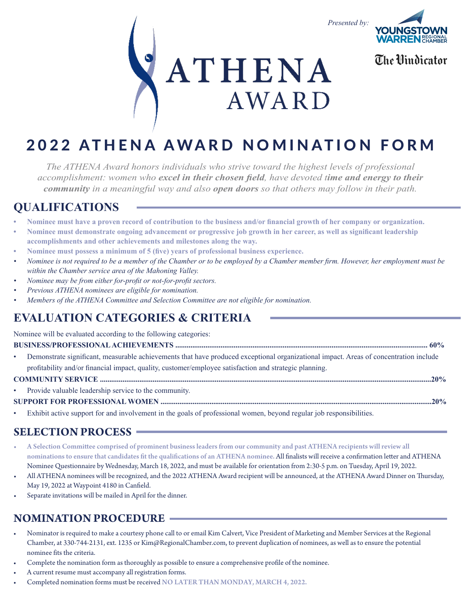



The **Mindicator** 

# **ATHENA AWARD**

# 2022 ATHENA AWARD NOMINATION FORM

*The ATHENA Award honors individuals who strive toward the highest levels of professional accomplishment: women who excel in their chosen field, have devoted time and energy to their community in a meaningful way and also open doors so that others may follow in their path.*

#### **QUALIFICATIONS**

- **• Nominee must have a proven record of contribution to the business and/or financial growth of her company or organization.**
- **• Nominee must demonstrate ongoing advancement or progressive job growth in her career, as well as significant leadership accomplishments and other achievements and milestones along the way.**
- **• Nominee must possess a minimum of 5 (five) years of professional business experience.**
- *• Nominee is not required to be a member of the Chamber or to be employed by a Chamber member firm. However, her employment must be within the Chamber service area of the Mahoning Valley.*
- *• Nominee may be from either for-profit or not-for-profit sectors.*
- *• Previous ATHENA nominees are eligible for nomination.*
- *• Members of the ATHENA Committee and Selection Committee are not eligible for nomination.*

## **EVALUATION CATEGORIES & CRITERIA**

Nominee will be evaluated according to the following categories:

#### **BUSINESS/PROFESSIONAL ACHIEVEMENTS ...................................................................................................................................... 60%**

• Demonstrate significant, measurable achievements that have produced exceptional organizational impact. Areas of concentration include profitability and/or financial impact, quality, customer/employee satisfaction and strategic planning.

#### **COMMUNITY SERVICE ................................................................................................................................................................................20%**

Provide valuable leadership service to the community.

#### **SUPPORT FOR PROFESSIONAL WOMEN ................................................................................................................................................20%**

• Exhibit active support for and involvement in the goals of professional women, beyond regular job responsibilities.

#### **SELECTION PROCESS**

- A Selection Committee comprised of prominent business leaders from our community and past ATHENA recipients will review all nominations to ensure that candidates fit the qualifications of an ATHENA nominee. All finalists will receive a confirmation letter and ATHENA Nominee Questionnaire by Wednesday, March 18, 2022, and must be available for orientation from 2:30-5 p.m. on Tuesday, April 19, 2022.
- All ATHENA nominees will be recognized, and the 2022 ATHENA Award recipient will be announced, at the ATHENA Award Dinner on Thursday, May 19, 2022 at Waypoint 4180 in Canfield.
- Separate invitations will be mailed in April for the dinner.

#### **NOMINATION PROCEDURE**

- Nominator is required to make a courtesy phone call to or email Kim Calvert, Vice President of Marketing and Member Services at the Regional Chamber, at 330-744-2131, ext. 1235 or Kim@RegionalChamber.com, to prevent duplication of nominees, as well as to ensure the potential nominee fits the criteria.
- Complete the nomination form as thoroughly as possible to ensure a comprehensive profile of the nominee.
- A current resume must accompany all registration forms.
- Completed nomination forms must be received NO LATER THAN MONDAY, MARCH 4, 2022.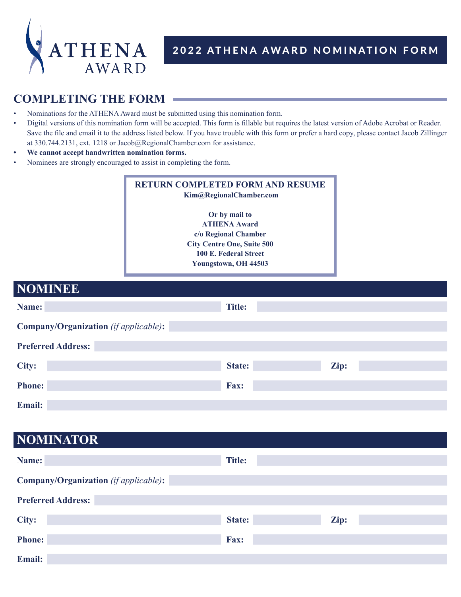

#### 2022 ATHENA AWARD NOMINATION FORM

#### **COMPLETING THE FORM**

- Nominations for the ATHENA Award must be submitted using this nomination form.
- Digital versions of this nomination form will be accepted. This form is fillable but requires the latest version of Adobe Acrobat or Reader. Save the file and email it to the address listed below. If you have trouble with this form or prefer a hard copy, please contact Jacob Zillinger at 330.744.2131, ext. 1218 or Jacob@RegionalChamber.com for assistance.
- **• We cannot accept handwritten nomination forms.**
- Nominees are strongly encouraged to assist in completing the form.

#### **RETURN COMPLETED FORM AND RESUME Kim@RegionalChamber.com Or by mail to ATHENA Award c/o Regional Chamber City Centre One, Suite 500**

**100 E. Federal Street**

**Youngstown, OH 44503**

| <b>NOMINEE</b>                               |               |      |  |
|----------------------------------------------|---------------|------|--|
| Name:                                        | <b>Title:</b> |      |  |
| <b>Company/Organization</b> (if applicable): |               |      |  |
| <b>Preferred Address:</b>                    |               |      |  |
| City:                                        | State:        | Zip: |  |
| <b>Phone:</b>                                | Fax:          |      |  |
| Email:                                       |               |      |  |

#### **NOMINATOR**

| Name:                                        | <b>Title:</b> |      |
|----------------------------------------------|---------------|------|
| <b>Company/Organization</b> (if applicable): |               |      |
| <b>Preferred Address:</b>                    |               |      |
| City:                                        | State:        | Zip: |
| <b>Phone:</b>                                | Fax:          |      |
| <b>Email:</b>                                |               |      |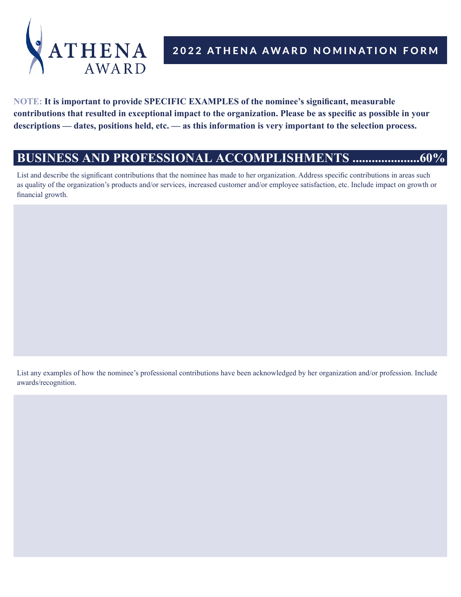

#### 2022 ATHENA AWARD NOMINATION FORM

**NOTE: It is important to provide SPECIFIC EXAMPLES of the nominee's significant, measurable contributions that resulted in exceptional impact to the organization. Please be as specific as possible in your descriptions — dates, positions held, etc. — as this information is very important to the selection process.** 

#### **BUSINESS AND PROFESSIONAL ACCOMPLISHMENTS .....................60%**

List and describe the significant contributions that the nominee has made to her organization. Address specific contributions in areas such as quality of the organization's products and/or services, increased customer and/or employee satisfaction, etc. Include impact on growth or financial growth.

List any examples of how the nominee's professional contributions have been acknowledged by her organization and/or profession. Include awards/recognition.